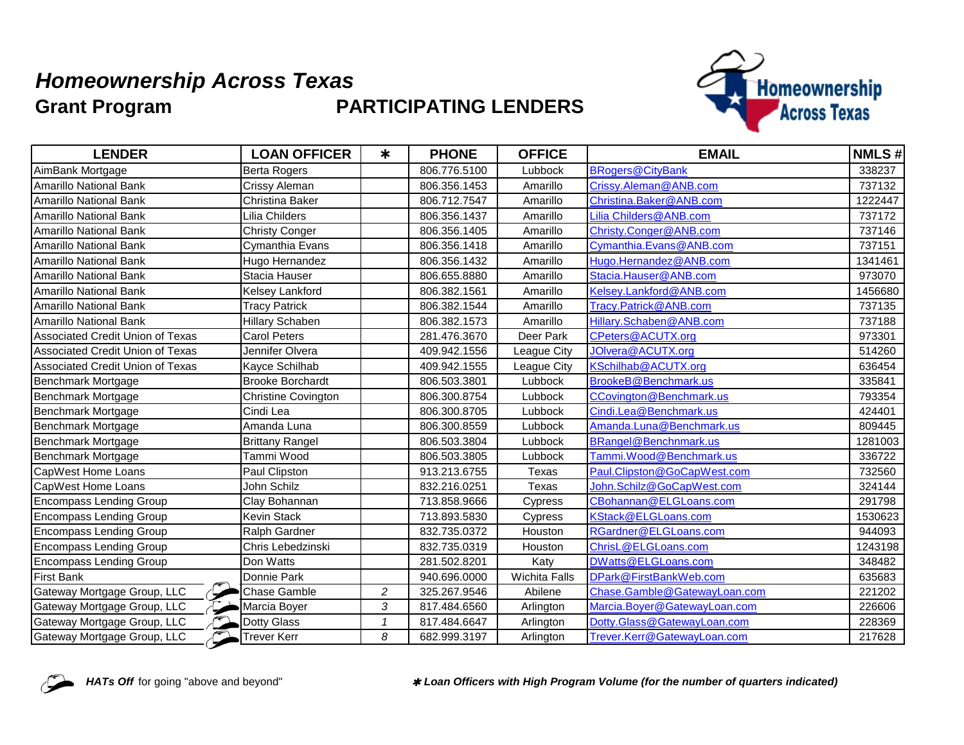## **Grant Program** *Homeownership Across Texas* **PARTICIPATING LENDERS**



| <b>LENDER</b>                           | <b>LOAN OFFICER</b>        | $\ast$       | <b>PHONE</b> | <b>OFFICE</b> | <b>EMAIL</b>                 | <b>NMLS#</b> |
|-----------------------------------------|----------------------------|--------------|--------------|---------------|------------------------------|--------------|
| AimBank Mortgage                        | <b>Berta Rogers</b>        |              | 806.776.5100 | Lubbock       | <b>BRogers@CityBank</b>      | 338237       |
| Amarillo National Bank                  | Crissy Aleman              |              | 806.356.1453 | Amarillo      | Crissy.Aleman@ANB.com        | 737132       |
| Amarillo National Bank                  | Christina Baker            |              | 806.712.7547 | Amarillo      | Christina.Baker@ANB.com      | 1222447      |
| <b>Amarillo National Bank</b>           | Lilia Childers             |              | 806.356.1437 | Amarillo      | Lilia Childers@ANB.com       | 737172       |
| Amarillo National Bank                  | <b>Christy Conger</b>      |              | 806.356.1405 | Amarillo      | Christy.Conger@ANB.com       | 737146       |
| Amarillo National Bank                  | Cymanthia Evans            |              | 806.356.1418 | Amarillo      | Cymanthia.Evans@ANB.com      | 737151       |
| <b>Amarillo National Bank</b>           | Hugo Hernandez             |              | 806.356.1432 | Amarillo      | Hugo.Hernandez@ANB.com       | 1341461      |
| <b>Amarillo National Bank</b>           | Stacia Hauser              |              | 806.655.8880 | Amarillo      | Stacia.Hauser@ANB.com        | 973070       |
| Amarillo National Bank                  | Kelsey Lankford            |              | 806.382.1561 | Amarillo      | Kelsey.Lankford@ANB.com      | 1456680      |
| Amarillo National Bank                  | <b>Tracy Patrick</b>       |              | 806.382.1544 | Amarillo      | Tracy.Patrick@ANB.com        | 737135       |
| <b>Amarillo National Bank</b>           | <b>Hillary Schaben</b>     |              | 806.382.1573 | Amarillo      | Hillary.Schaben@ANB.com      | 737188       |
| <b>Associated Credit Union of Texas</b> | <b>Carol Peters</b>        |              | 281.476.3670 | Deer Park     | CPeters@ACUTX.org            | 973301       |
| Associated Credit Union of Texas        | Jennifer Olvera            |              | 409.942.1556 | League City   | JOIvera@ACUTX.org            | 514260       |
| Associated Credit Union of Texas        | Kayce Schilhab             |              | 409.942.1555 | League City   | KSchilhab@ACUTX.org          | 636454       |
| Benchmark Mortgage                      | <b>Brooke Borchardt</b>    |              | 806.503.3801 | Lubbock       | BrookeB@Benchmark.us         | 335841       |
| Benchmark Mortgage                      | <b>Christine Covington</b> |              | 806.300.8754 | Lubbock       | CCovington@Benchmark.us      | 793354       |
| Benchmark Mortgage                      | Cindi Lea                  |              | 806.300.8705 | Lubbock       | Cindi.Lea@Benchmark.us       | 424401       |
| Benchmark Mortgage                      | Amanda Luna                |              | 806.300.8559 | Lubbock       | Amanda.Luna@Benchmark.us     | 809445       |
| Benchmark Mortgage                      | <b>Brittany Rangel</b>     |              | 806.503.3804 | Lubbock       | BRangel@Benchnmark.us        | 1281003      |
| Benchmark Mortgage                      | Tammi Wood                 |              | 806.503.3805 | Lubbock       | Tammi.Wood@Benchmark.us      | 336722       |
| CapWest Home Loans                      | Paul Clipston              |              | 913.213.6755 | Texas         | Paul.Clipston@GoCapWest.com  | 732560       |
| CapWest Home Loans                      | John Schilz                |              | 832.216.0251 | Texas         | John.Schilz@GoCapWest.com    | 324144       |
| <b>Encompass Lending Group</b>          | Clay Bohannan              |              | 713.858.9666 | Cypress       | CBohannan@ELGLoans.com       | 291798       |
| <b>Encompass Lending Group</b>          | <b>Kevin Stack</b>         |              | 713.893.5830 | Cypress       | KStack@ELGLoans.com          | 1530623      |
| <b>Encompass Lending Group</b>          | Ralph Gardner              |              | 832.735.0372 | Houston       | RGardner@ELGLoans.com        | 944093       |
| <b>Encompass Lending Group</b>          | Chris Lebedzinski          |              | 832.735.0319 | Houston       | ChrisL@ELGLoans.com          | 1243198      |
| <b>Encompass Lending Group</b>          | Don Watts                  |              | 281.502.8201 | Katy          | DWatts@ELGLoans.com          | 348482       |
| <b>First Bank</b>                       | Donnie Park                |              | 940.696.0000 | Wichita Falls | DPark@FirstBankWeb.com       | 635683       |
| Gateway Mortgage Group, LLC             | Chase Gamble               | 2            | 325.267.9546 | Abilene       | Chase.Gamble@GatewayLoan.com | 221202       |
| Gateway Mortgage Group, LLC             | Marcia Boyer               | 3            | 817.484.6560 | Arlington     | Marcia.Boyer@GatewayLoan.com | 226606       |
| Gateway Mortgage Group, LLC<br>$\sim$   | <b>Dotty Glass</b>         | $\mathbf{1}$ | 817.484.6647 | Arlington     | Dotty.Glass@GatewayLoan.com  | 228369       |
| Gateway Mortgage Group, LLC             | <b>Trever Kerr</b>         | 8            | 682.999.3197 | Arlington     | Trever.Kerr@GatewayLoan.com  | 217628       |



HATs Off for going "above and beyond" *\* Loan Officers with High Program Volume (for the number of quarters indicated)*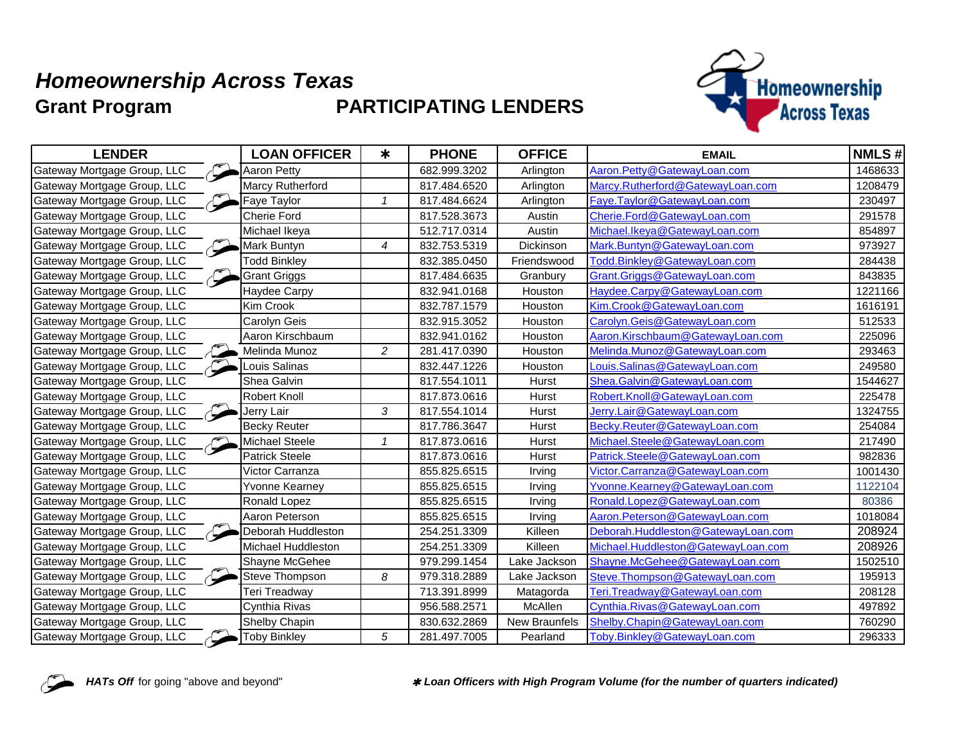## **Grant Program** *Homeownership Across Texas* **PARTICIPATING LENDERS**



| <b>LENDER</b>               | <b>LOAN OFFICER</b>   | $\ast$         | <b>PHONE</b> | <b>OFFICE</b>        | <b>EMAIL</b>                       | <b>NMLS#</b> |
|-----------------------------|-----------------------|----------------|--------------|----------------------|------------------------------------|--------------|
| Gateway Mortgage Group, LLC | Aaron Petty           |                | 682.999.3202 | Arlington            | Aaron.Petty@GatewayLoan.com        | 1468633      |
| Gateway Mortgage Group, LLC | Marcy Rutherford      |                | 817.484.6520 | Arlington            | Marcy.Rutherford@GatewayLoan.com   | 1208479      |
| Gateway Mortgage Group, LLC | Faye Taylor           | 1              | 817.484.6624 | Arlington            | Faye.Taylor@GatewayLoan.com        | 230497       |
| Gateway Mortgage Group, LLC | <b>Cherie Ford</b>    |                | 817.528.3673 | Austin               | Cherie.Ford@GatewayLoan.com        | 291578       |
| Gateway Mortgage Group, LLC | Michael Ikeya         |                | 512.717.0314 | Austin               | Michael.Ikeya@GatewayLoan.com      | 854897       |
| Gateway Mortgage Group, LLC | Mark Buntyn           | 4              | 832.753.5319 | Dickinson            | Mark.Buntyn@GatewayLoan.com        | 973927       |
| Gateway Mortgage Group, LLC | <b>Todd Binkley</b>   |                | 832.385.0450 | Friendswood          | Todd.Binkley@GatewayLoan.com       | 284438       |
| Gateway Mortgage Group, LLC | <b>Grant Griggs</b>   |                | 817.484.6635 | Granbury             | Grant.Griggs@GatewayLoan.com       | 843835       |
| Gateway Mortgage Group, LLC | Haydee Carpy          |                | 832.941.0168 | Houston              | Haydee.Carpy@GatewayLoan.com       | 1221166      |
| Gateway Mortgage Group, LLC | Kim Crook             |                | 832.787.1579 | Houston              | Kim.Crook@GatewayLoan.com          | 1616191      |
| Gateway Mortgage Group, LLC | Carolyn Geis          |                | 832.915.3052 | Houston              | Carolyn.Geis@GatewayLoan.com       | 512533       |
| Gateway Mortgage Group, LLC | Aaron Kirschbaum      |                | 832.941.0162 | Houston              | Aaron.Kirschbaum@GatewayLoan.com   | 225096       |
| Gateway Mortgage Group, LLC | Melinda Munoz         | $\overline{c}$ | 281.417.0390 | Houston              | Melinda.Munoz@GatewayLoan.com      | 293463       |
| Gateway Mortgage Group, LLC | Louis Salinas         |                | 832.447.1226 | Houston              | Louis.Salinas@GatewayLoan.com      | 249580       |
| Gateway Mortgage Group, LLC | Shea Galvin           |                | 817.554.1011 | Hurst                | Shea.Galvin@GatewayLoan.com        | 1544627      |
| Gateway Mortgage Group, LLC | <b>Robert Knoll</b>   |                | 817.873.0616 | Hurst                | Robert.Knoll@GatewayLoan.com       | 225478       |
| Gateway Mortgage Group, LLC | Jerry Lair            | 3              | 817.554.1014 | Hurst                | Jerry.Lair@GatewayLoan.com         | 1324755      |
| Gateway Mortgage Group, LLC | <b>Becky Reuter</b>   |                | 817.786.3647 | Hurst                | Becky.Reuter@GatewayLoan.com       | 254084       |
| Gateway Mortgage Group, LLC | Michael Steele        | 1              | 817.873.0616 | Hurst                | Michael.Steele@GatewayLoan.com     | 217490       |
| Gateway Mortgage Group, LLC | <b>Patrick Steele</b> |                | 817.873.0616 | Hurst                | Patrick.Steele@GatewayLoan.com     | 982836       |
| Gateway Mortgage Group, LLC | Victor Carranza       |                | 855.825.6515 | Irving               | Victor.Carranza@GatewayLoan.com    | 1001430      |
| Gateway Mortgage Group, LLC | Yvonne Kearney        |                | 855.825.6515 | Irving               | Yvonne.Kearney@GatewayLoan.com     | 1122104      |
| Gateway Mortgage Group, LLC | Ronald Lopez          |                | 855.825.6515 | Irving               | Ronald.Lopez@GatewayLoan.com       | 80386        |
| Gateway Mortgage Group, LLC | Aaron Peterson        |                | 855.825.6515 | Irving               | Aaron.Peterson@GatewayLoan.com     | 1018084      |
| Gateway Mortgage Group, LLC | Deborah Huddleston    |                | 254.251.3309 | Killeen              | Deborah.Huddleston@GatewayLoan.com | 208924       |
| Gateway Mortgage Group, LLC | Michael Huddleston    |                | 254.251.3309 | Killeen              | Michael.Huddleston@GatewavLoan.com | 208926       |
| Gateway Mortgage Group, LLC | Shayne McGehee        |                | 979.299.1454 | Lake Jackson         | Shayne.McGehee@GatewayLoan.com     | 1502510      |
| Gateway Mortgage Group, LLC | Steve Thompson        | 8              | 979.318.2889 | Lake Jackson         | Steve.Thompson@GatewayLoan.com     | 195913       |
| Gateway Mortgage Group, LLC | Teri Treadway         |                | 713.391.8999 | Matagorda            | Teri.Treadway@GatewayLoan.com      | 208128       |
| Gateway Mortgage Group, LLC | Cynthia Rivas         |                | 956.588.2571 | McAllen              | Cynthia.Rivas@GatewayLoan.com      | 497892       |
| Gateway Mortgage Group, LLC | Shelby Chapin         |                | 830.632.2869 | <b>New Braunfels</b> | Shelby.Chapin@GatewayLoan.com      | 760290       |
| Gateway Mortgage Group, LLC | <b>Toby Binkley</b>   | 5              | 281.497.7005 | Pearland             | Toby.Binkley@GatewayLoan.com       | 296333       |



*HATs Off* for going "above and beyond" ✱ *Loan Officers with High Program Volume (for the number of quarters indicated)*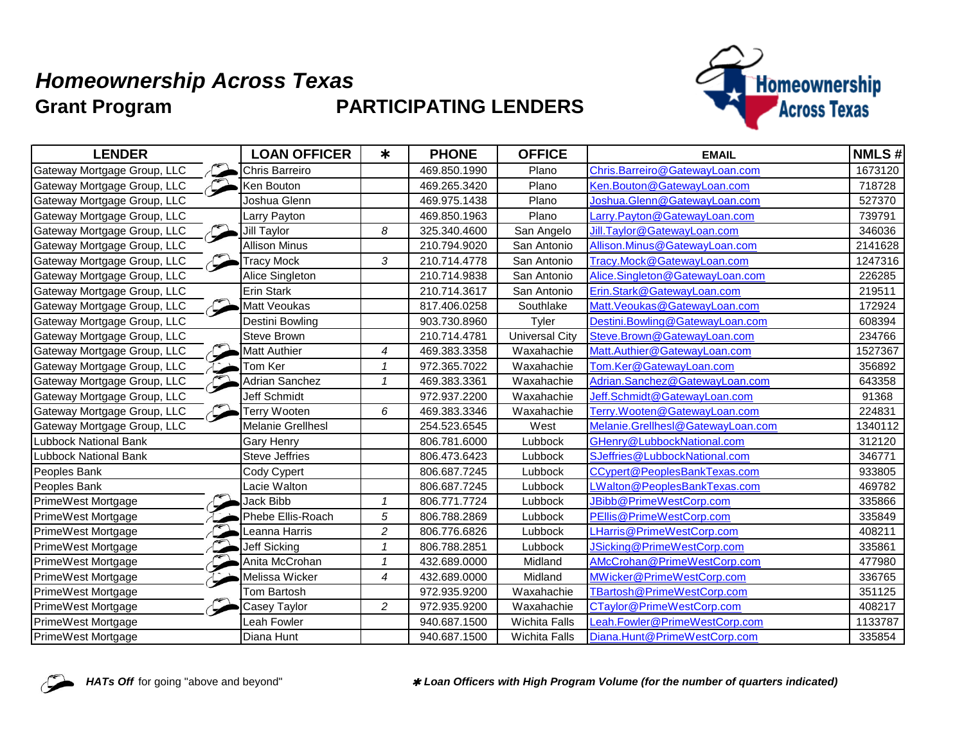## **Grant Program PARTICIPATING LENDERS** *Homeownership Across Texas*



| <b>LENDER</b>                | <b>LOAN OFFICER</b>   | $\ast$         | <b>PHONE</b> | <b>OFFICE</b>         | <b>EMAIL</b>                      | <b>NMLS#</b> |
|------------------------------|-----------------------|----------------|--------------|-----------------------|-----------------------------------|--------------|
| Gateway Mortgage Group, LLC  | Chris Barreiro        |                | 469.850.1990 | Plano                 | Chris.Barreiro@GatewayLoan.com    | 1673120      |
| Gateway Mortgage Group, LLC  | Ken Bouton            |                | 469.265.3420 | Plano                 | Ken.Bouton@GatewayLoan.com        | 718728       |
| Gateway Mortgage Group, LLC  | Joshua Glenn          |                | 469.975.1438 | Plano                 | Joshua.Glenn@GatewayLoan.com      | 527370       |
| Gateway Mortgage Group, LLC  | Larry Payton          |                | 469.850.1963 | Plano                 | Larry.Payton@GatewayLoan.com      | 739791       |
| Gateway Mortgage Group, LLC  | Jill Taylor           | 8              | 325.340.4600 | San Angelo            | Jill.Taylor@GatewayLoan.com       | 346036       |
| Gateway Mortgage Group, LLC  | <b>Allison Minus</b>  |                | 210.794.9020 | San Antonio           | Allison.Minus@GatewayLoan.com     | 2141628      |
| Gateway Mortgage Group, LLC  | <b>Tracy Mock</b>     | 3              | 210.714.4778 | San Antonio           | Tracy.Mock@GatewayLoan.com        | 1247316      |
| Gateway Mortgage Group, LLC  | Alice Singleton       |                | 210.714.9838 | San Antonio           | Alice.Singleton@GatewayLoan.com   | 226285       |
| Gateway Mortgage Group, LLC  | Erin Stark            |                | 210.714.3617 | San Antonio           | Erin.Stark@GatewayLoan.com        | 219511       |
| Gateway Mortgage Group, LLC  | Matt Veoukas          |                | 817.406.0258 | Southlake             | Matt. Veoukas@GatewayLoan.com     | 172924       |
| Gateway Mortgage Group, LLC  | Destini Bowling       |                | 903.730.8960 | Tyler                 | Destini.Bowling@GatewayLoan.com   | 608394       |
| Gateway Mortgage Group, LLC  | Steve Brown           |                | 210.714.4781 | <b>Universal City</b> | Steve.Brown@GatewayLoan.com       | 234766       |
| Gateway Mortgage Group, LLC  | Matt Authier          | 4              | 469.383.3358 | Waxahachie            | Matt.Authier@GatewayLoan.com      | 1527367      |
| Gateway Mortgage Group, LLC  | Tom Ker               | $\mathbf{1}$   | 972.365.7022 | Waxahachie            | Tom.Ker@GatewayLoan.com           | 356892       |
| Gateway Mortgage Group, LLC  | <b>Adrian Sanchez</b> | $\mathcal I$   | 469.383.3361 | Waxahachie            | Adrian.Sanchez@GatewayLoan.com    | 643358       |
| Gateway Mortgage Group, LLC  | Jeff Schmidt          |                | 972.937.2200 | Waxahachie            | Jeff.Schmidt@GatewayLoan.com      | 91368        |
| Gateway Mortgage Group, LLC  | Terry Wooten          | 6              | 469.383.3346 | Waxahachie            | Terry.Wooten@GatewayLoan.com      | 224831       |
| Gateway Mortgage Group, LLC  | Melanie Grellhesl     |                | 254.523.6545 | West                  | Melanie.Grellhesl@GatewayLoan.com | 1340112      |
| <b>Lubbock National Bank</b> | Gary Henry            |                | 806.781.6000 | Lubbock               | GHenry@LubbockNational.com        | 312120       |
| Lubbock National Bank        | <b>Steve Jeffries</b> |                | 806.473.6423 | Lubbock               | SJeffries@LubbockNational.com     | 346771       |
| Peoples Bank                 | Cody Cypert           |                | 806.687.7245 | Lubbock               | CCypert@PeoplesBankTexas.com      | 933805       |
| Peoples Bank                 | Lacie Walton          |                | 806.687.7245 | Lubbock               | LWalton@PeoplesBankTexas.com      | 469782       |
| PrimeWest Mortgage           | Jack Bibb             | $\mathbf 1$    | 806.771.7724 | Lubbock               | JBibb@PrimeWestCorp.com           | 335866       |
| PrimeWest Mortgage           | Phebe Ellis-Roach     | 5              | 806.788.2869 | Lubbock               | PEllis@PrimeWestCorp.com          | 335849       |
| PrimeWest Mortgage           | Leanna Harris         | $\overline{c}$ | 806.776.6826 | Lubbock               | <b>Harris@PrimeWestCorp.com</b>   | 408211       |
| PrimeWest Mortgage           | <b>Jeff Sicking</b>   | $\mathbf{1}$   | 806.788.2851 | Lubbock               | JSicking@PrimeWestCorp.com        | 335861       |
| PrimeWest Mortgage           | Anita McCrohan        | $\mathcal I$   | 432.689.0000 | Midland               | AMcCrohan@PrimeWestCorp.com       | 477980       |
| PrimeWest Mortgage           | Melissa Wicker        | 4              | 432.689.0000 | Midland               | MWicker@PrimeWestCorp.com         | 336765       |
| PrimeWest Mortgage           | Tom Bartosh           |                | 972.935.9200 | Waxahachie            | TBartosh@PrimeWestCorp.com        | 351125       |
| PrimeWest Mortgage           | Casey Taylor          | $\overline{c}$ | 972.935.9200 | Waxahachie            | CTaylor@PrimeWestCorp.com         | 408217       |
| PrimeWest Mortgage           | Leah Fowler           |                | 940.687.1500 | <b>Wichita Falls</b>  | Leah.Fowler@PrimeWestCorp.com     | 1133787      |
| <b>PrimeWest Mortgage</b>    | Diana Hunt            |                | 940.687.1500 | <b>Wichita Falls</b>  | Diana.Hunt@PrimeWestCorp.com      | 335854       |



HATs Off for going "above and beyond" *\* Loan Officers with High Program Volume (for the number of quarters indicated)*